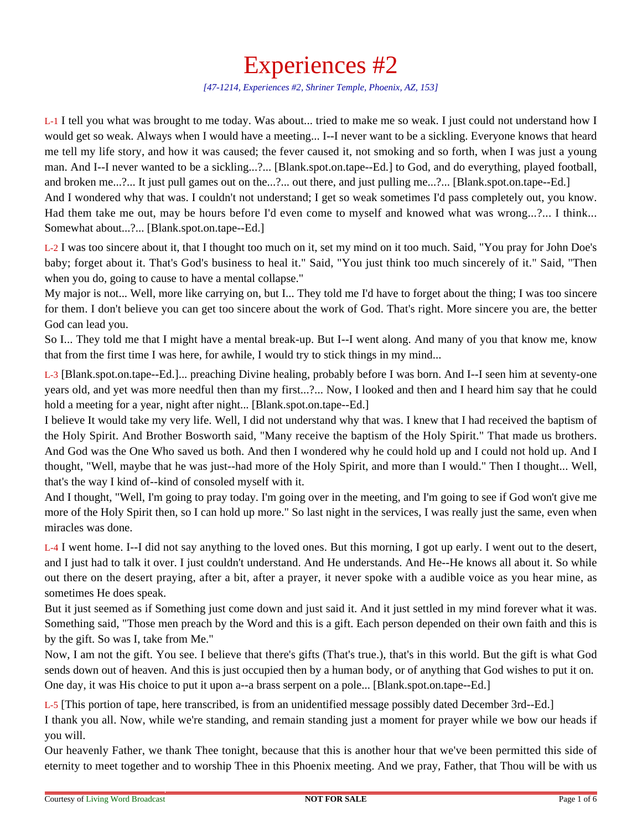## Experiences #2

*[47-1214, Experiences #2, Shriner Temple, Phoenix, AZ, 153]*

L-1 I tell you what was brought to me today. Was about... tried to make me so weak. I just could not understand how I would get so weak. Always when I would have a meeting... I--I never want to be a sickling. Everyone knows that heard me tell my life story, and how it was caused; the fever caused it, not smoking and so forth, when I was just a young man. And I--I never wanted to be a sickling...?... [Blank.spot.on.tape--Ed.] to God, and do everything, played football, and broken me...?... It just pull games out on the...?... out there, and just pulling me...?... [Blank.spot.on.tape--Ed.]

And I wondered why that was. I couldn't not understand; I get so weak sometimes I'd pass completely out, you know. Had them take me out, may be hours before I'd even come to myself and knowed what was wrong...?... I think... Somewhat about...?... [Blank.spot.on.tape--Ed.]

L-2 I was too sincere about it, that I thought too much on it, set my mind on it too much. Said, "You pray for John Doe's baby; forget about it. That's God's business to heal it." Said, "You just think too much sincerely of it." Said, "Then when you do, going to cause to have a mental collapse."

My major is not... Well, more like carrying on, but I... They told me I'd have to forget about the thing; I was too sincere for them. I don't believe you can get too sincere about the work of God. That's right. More sincere you are, the better God can lead you.

So I... They told me that I might have a mental break-up. But I--I went along. And many of you that know me, know that from the first time I was here, for awhile, I would try to stick things in my mind...

L-3 [Blank.spot.on.tape--Ed.]... preaching Divine healing, probably before I was born. And I--I seen him at seventy-one years old, and yet was more needful then than my first...?... Now, I looked and then and I heard him say that he could hold a meeting for a year, night after night... [Blank.spot.on.tape--Ed.]

I believe It would take my very life. Well, I did not understand why that was. I knew that I had received the baptism of the Holy Spirit. And Brother Bosworth said, "Many receive the baptism of the Holy Spirit." That made us brothers. And God was the One Who saved us both. And then I wondered why he could hold up and I could not hold up. And I thought, "Well, maybe that he was just--had more of the Holy Spirit, and more than I would." Then I thought... Well, that's the way I kind of--kind of consoled myself with it.

And I thought, "Well, I'm going to pray today. I'm going over in the meeting, and I'm going to see if God won't give me more of the Holy Spirit then, so I can hold up more." So last night in the services, I was really just the same, even when miracles was done.

L-4 I went home. I--I did not say anything to the loved ones. But this morning, I got up early. I went out to the desert, and I just had to talk it over. I just couldn't understand. And He understands. And He--He knows all about it. So while out there on the desert praying, after a bit, after a prayer, it never spoke with a audible voice as you hear mine, as sometimes He does speak.

But it just seemed as if Something just come down and just said it. And it just settled in my mind forever what it was. Something said, "Those men preach by the Word and this is a gift. Each person depended on their own faith and this is by the gift. So was I, take from Me."

Now, I am not the gift. You see. I believe that there's gifts (That's true.), that's in this world. But the gift is what God sends down out of heaven. And this is just occupied then by a human body, or of anything that God wishes to put it on. One day, it was His choice to put it upon a--a brass serpent on a pole... [Blank.spot.on.tape--Ed.]

L-5 [This portion of tape, here transcribed, is from an unidentified message possibly dated December 3rd--Ed.]

I thank you all. Now, while we're standing, and remain standing just a moment for prayer while we bow our heads if you will.

Our heavenly Father, we thank Thee tonight, because that this is another hour that we've been permitted this side of eternity to meet together and to worship Thee in this Phoenix meeting. And we pray, Father, that Thou will be with us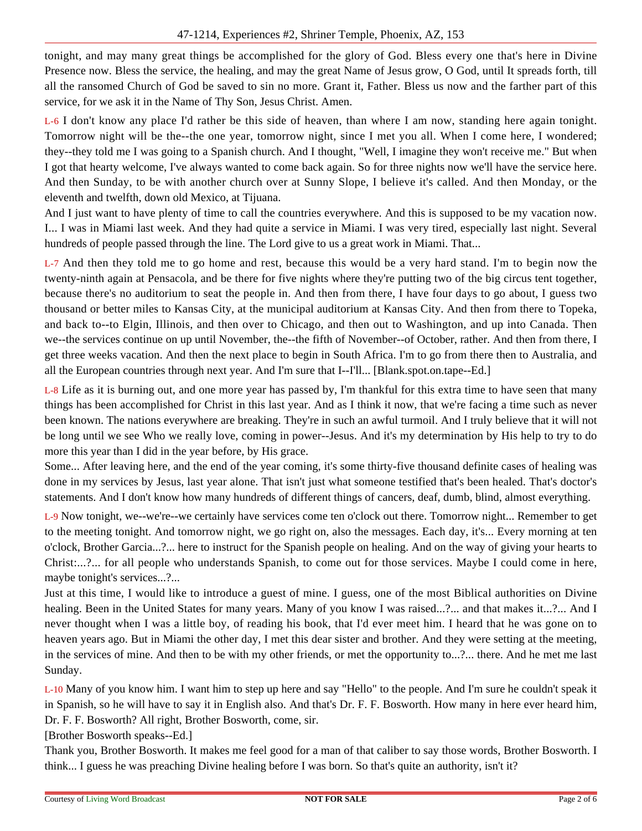tonight, and may many great things be accomplished for the glory of God. Bless every one that's here in Divine Presence now. Bless the service, the healing, and may the great Name of Jesus grow, O God, until It spreads forth, till all the ransomed Church of God be saved to sin no more. Grant it, Father. Bless us now and the farther part of this service, for we ask it in the Name of Thy Son, Jesus Christ. Amen.

L-6 I don't know any place I'd rather be this side of heaven, than where I am now, standing here again tonight. Tomorrow night will be the--the one year, tomorrow night, since I met you all. When I come here, I wondered; they--they told me I was going to a Spanish church. And I thought, "Well, I imagine they won't receive me." But when I got that hearty welcome, I've always wanted to come back again. So for three nights now we'll have the service here. And then Sunday, to be with another church over at Sunny Slope, I believe it's called. And then Monday, or the eleventh and twelfth, down old Mexico, at Tijuana.

And I just want to have plenty of time to call the countries everywhere. And this is supposed to be my vacation now. I... I was in Miami last week. And they had quite a service in Miami. I was very tired, especially last night. Several hundreds of people passed through the line. The Lord give to us a great work in Miami. That...

L-7 And then they told me to go home and rest, because this would be a very hard stand. I'm to begin now the twenty-ninth again at Pensacola, and be there for five nights where they're putting two of the big circus tent together, because there's no auditorium to seat the people in. And then from there, I have four days to go about, I guess two thousand or better miles to Kansas City, at the municipal auditorium at Kansas City. And then from there to Topeka, and back to--to Elgin, Illinois, and then over to Chicago, and then out to Washington, and up into Canada. Then we--the services continue on up until November, the--the fifth of November--of October, rather. And then from there, I get three weeks vacation. And then the next place to begin in South Africa. I'm to go from there then to Australia, and all the European countries through next year. And I'm sure that I--I'll... [Blank.spot.on.tape--Ed.]

L-8 Life as it is burning out, and one more year has passed by, I'm thankful for this extra time to have seen that many things has been accomplished for Christ in this last year. And as I think it now, that we're facing a time such as never been known. The nations everywhere are breaking. They're in such an awful turmoil. And I truly believe that it will not be long until we see Who we really love, coming in power--Jesus. And it's my determination by His help to try to do more this year than I did in the year before, by His grace.

Some... After leaving here, and the end of the year coming, it's some thirty-five thousand definite cases of healing was done in my services by Jesus, last year alone. That isn't just what someone testified that's been healed. That's doctor's statements. And I don't know how many hundreds of different things of cancers, deaf, dumb, blind, almost everything.

L-9 Now tonight, we--we're--we certainly have services come ten o'clock out there. Tomorrow night... Remember to get to the meeting tonight. And tomorrow night, we go right on, also the messages. Each day, it's... Every morning at ten o'clock, Brother Garcia...?... here to instruct for the Spanish people on healing. And on the way of giving your hearts to Christ:...?... for all people who understands Spanish, to come out for those services. Maybe I could come in here, maybe tonight's services...?...

Just at this time, I would like to introduce a guest of mine. I guess, one of the most Biblical authorities on Divine healing. Been in the United States for many years. Many of you know I was raised...?... and that makes it...?... And I never thought when I was a little boy, of reading his book, that I'd ever meet him. I heard that he was gone on to heaven years ago. But in Miami the other day, I met this dear sister and brother. And they were setting at the meeting, in the services of mine. And then to be with my other friends, or met the opportunity to...?... there. And he met me last Sunday.

L-10 Many of you know him. I want him to step up here and say "Hello" to the people. And I'm sure he couldn't speak it in Spanish, so he will have to say it in English also. And that's Dr. F. F. Bosworth. How many in here ever heard him, Dr. F. F. Bosworth? All right, Brother Bosworth, come, sir.

[Brother Bosworth speaks--Ed.]

Thank you, Brother Bosworth. It makes me feel good for a man of that caliber to say those words, Brother Bosworth. I think... I guess he was preaching Divine healing before I was born. So that's quite an authority, isn't it?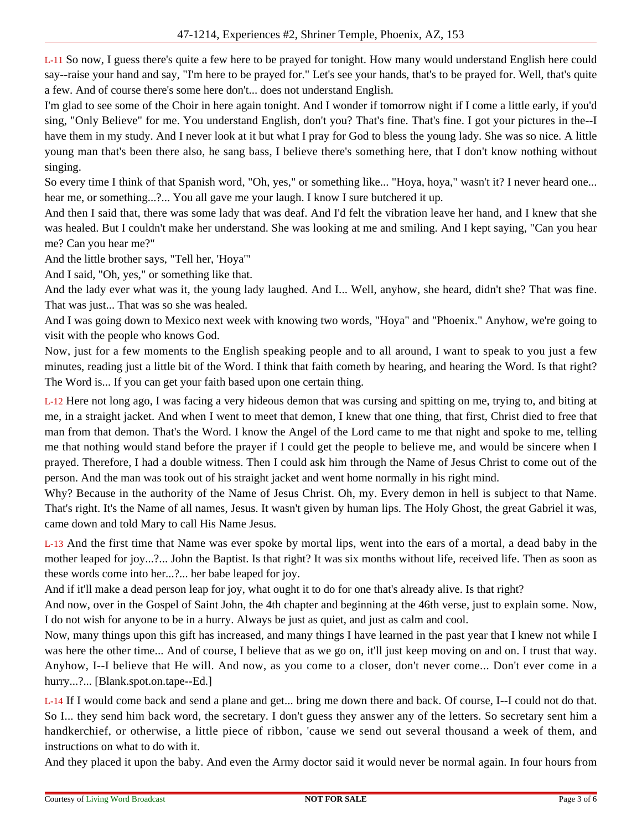L-11 So now, I guess there's quite a few here to be prayed for tonight. How many would understand English here could say--raise your hand and say, "I'm here to be prayed for." Let's see your hands, that's to be prayed for. Well, that's quite a few. And of course there's some here don't... does not understand English.

I'm glad to see some of the Choir in here again tonight. And I wonder if tomorrow night if I come a little early, if you'd sing, "Only Believe" for me. You understand English, don't you? That's fine. That's fine. I got your pictures in the--I have them in my study. And I never look at it but what I pray for God to bless the young lady. She was so nice. A little young man that's been there also, he sang bass, I believe there's something here, that I don't know nothing without singing.

So every time I think of that Spanish word, "Oh, yes," or something like... "Hoya, hoya," wasn't it? I never heard one... hear me, or something...?... You all gave me your laugh. I know I sure butchered it up.

And then I said that, there was some lady that was deaf. And I'd felt the vibration leave her hand, and I knew that she was healed. But I couldn't make her understand. She was looking at me and smiling. And I kept saying, "Can you hear me? Can you hear me?"

And the little brother says, "Tell her, 'Hoya'"

And I said, "Oh, yes," or something like that.

And the lady ever what was it, the young lady laughed. And I... Well, anyhow, she heard, didn't she? That was fine. That was just... That was so she was healed.

And I was going down to Mexico next week with knowing two words, "Hoya" and "Phoenix." Anyhow, we're going to visit with the people who knows God.

Now, just for a few moments to the English speaking people and to all around, I want to speak to you just a few minutes, reading just a little bit of the Word. I think that faith cometh by hearing, and hearing the Word. Is that right? The Word is... If you can get your faith based upon one certain thing.

L-12 Here not long ago, I was facing a very hideous demon that was cursing and spitting on me, trying to, and biting at me, in a straight jacket. And when I went to meet that demon, I knew that one thing, that first, Christ died to free that man from that demon. That's the Word. I know the Angel of the Lord came to me that night and spoke to me, telling me that nothing would stand before the prayer if I could get the people to believe me, and would be sincere when I prayed. Therefore, I had a double witness. Then I could ask him through the Name of Jesus Christ to come out of the person. And the man was took out of his straight jacket and went home normally in his right mind.

Why? Because in the authority of the Name of Jesus Christ. Oh, my. Every demon in hell is subject to that Name. That's right. It's the Name of all names, Jesus. It wasn't given by human lips. The Holy Ghost, the great Gabriel it was, came down and told Mary to call His Name Jesus.

L-13 And the first time that Name was ever spoke by mortal lips, went into the ears of a mortal, a dead baby in the mother leaped for joy...?... John the Baptist. Is that right? It was six months without life, received life. Then as soon as these words come into her...?... her babe leaped for joy.

And if it'll make a dead person leap for joy, what ought it to do for one that's already alive. Is that right?

And now, over in the Gospel of Saint John, the 4th chapter and beginning at the 46th verse, just to explain some. Now, I do not wish for anyone to be in a hurry. Always be just as quiet, and just as calm and cool.

Now, many things upon this gift has increased, and many things I have learned in the past year that I knew not while I was here the other time... And of course, I believe that as we go on, it'll just keep moving on and on. I trust that way. Anyhow, I--I believe that He will. And now, as you come to a closer, don't never come... Don't ever come in a hurry...?... [Blank.spot.on.tape--Ed.]

L-14 If I would come back and send a plane and get... bring me down there and back. Of course, I--I could not do that. So I... they send him back word, the secretary. I don't guess they answer any of the letters. So secretary sent him a handkerchief, or otherwise, a little piece of ribbon, 'cause we send out several thousand a week of them, and instructions on what to do with it.

And they placed it upon the baby. And even the Army doctor said it would never be normal again. In four hours from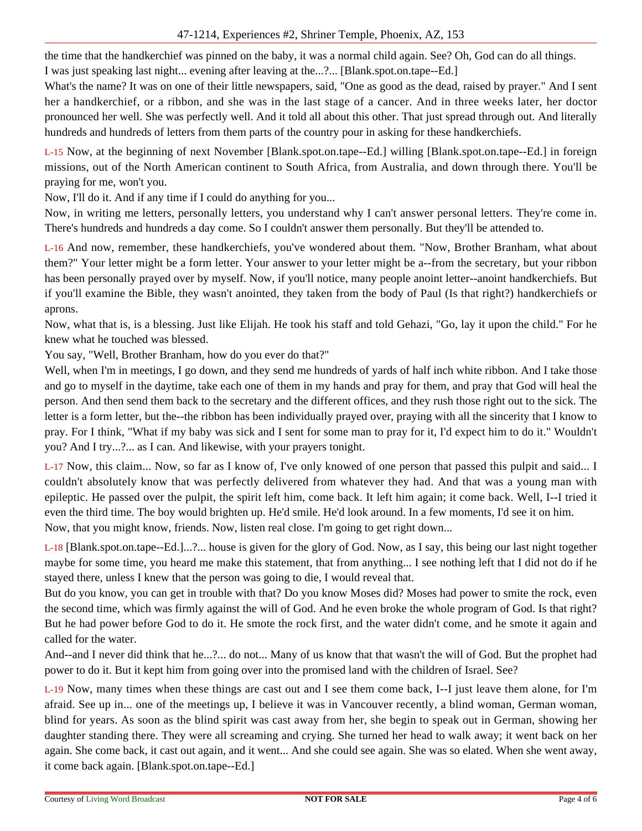the time that the handkerchief was pinned on the baby, it was a normal child again. See? Oh, God can do all things.

I was just speaking last night... evening after leaving at the...?... [Blank.spot.on.tape--Ed.]

What's the name? It was on one of their little newspapers, said, "One as good as the dead, raised by prayer." And I sent her a handkerchief, or a ribbon, and she was in the last stage of a cancer. And in three weeks later, her doctor pronounced her well. She was perfectly well. And it told all about this other. That just spread through out. And literally hundreds and hundreds of letters from them parts of the country pour in asking for these handkerchiefs.

L-15 Now, at the beginning of next November [Blank.spot.on.tape--Ed.] willing [Blank.spot.on.tape--Ed.] in foreign missions, out of the North American continent to South Africa, from Australia, and down through there. You'll be praying for me, won't you.

Now, I'll do it. And if any time if I could do anything for you...

Now, in writing me letters, personally letters, you understand why I can't answer personal letters. They're come in. There's hundreds and hundreds a day come. So I couldn't answer them personally. But they'll be attended to.

L-16 And now, remember, these handkerchiefs, you've wondered about them. "Now, Brother Branham, what about them?" Your letter might be a form letter. Your answer to your letter might be a--from the secretary, but your ribbon has been personally prayed over by myself. Now, if you'll notice, many people anoint letter--anoint handkerchiefs. But if you'll examine the Bible, they wasn't anointed, they taken from the body of Paul (Is that right?) handkerchiefs or aprons.

Now, what that is, is a blessing. Just like Elijah. He took his staff and told Gehazi, "Go, lay it upon the child." For he knew what he touched was blessed.

You say, "Well, Brother Branham, how do you ever do that?"

Well, when I'm in meetings, I go down, and they send me hundreds of yards of half inch white ribbon. And I take those and go to myself in the daytime, take each one of them in my hands and pray for them, and pray that God will heal the person. And then send them back to the secretary and the different offices, and they rush those right out to the sick. The letter is a form letter, but the--the ribbon has been individually prayed over, praying with all the sincerity that I know to pray. For I think, "What if my baby was sick and I sent for some man to pray for it, I'd expect him to do it." Wouldn't you? And I try...?... as I can. And likewise, with your prayers tonight.

L-17 Now, this claim... Now, so far as I know of, I've only knowed of one person that passed this pulpit and said... I couldn't absolutely know that was perfectly delivered from whatever they had. And that was a young man with epileptic. He passed over the pulpit, the spirit left him, come back. It left him again; it come back. Well, I--I tried it even the third time. The boy would brighten up. He'd smile. He'd look around. In a few moments, I'd see it on him. Now, that you might know, friends. Now, listen real close. I'm going to get right down...

L-18 [Blank.spot.on.tape--Ed.]...?... house is given for the glory of God. Now, as I say, this being our last night together maybe for some time, you heard me make this statement, that from anything... I see nothing left that I did not do if he stayed there, unless I knew that the person was going to die, I would reveal that.

But do you know, you can get in trouble with that? Do you know Moses did? Moses had power to smite the rock, even the second time, which was firmly against the will of God. And he even broke the whole program of God. Is that right? But he had power before God to do it. He smote the rock first, and the water didn't come, and he smote it again and called for the water.

And--and I never did think that he...?... do not... Many of us know that that wasn't the will of God. But the prophet had power to do it. But it kept him from going over into the promised land with the children of Israel. See?

L-19 Now, many times when these things are cast out and I see them come back, I--I just leave them alone, for I'm afraid. See up in... one of the meetings up, I believe it was in Vancouver recently, a blind woman, German woman, blind for years. As soon as the blind spirit was cast away from her, she begin to speak out in German, showing her daughter standing there. They were all screaming and crying. She turned her head to walk away; it went back on her again. She come back, it cast out again, and it went... And she could see again. She was so elated. When she went away, it come back again. [Blank.spot.on.tape--Ed.]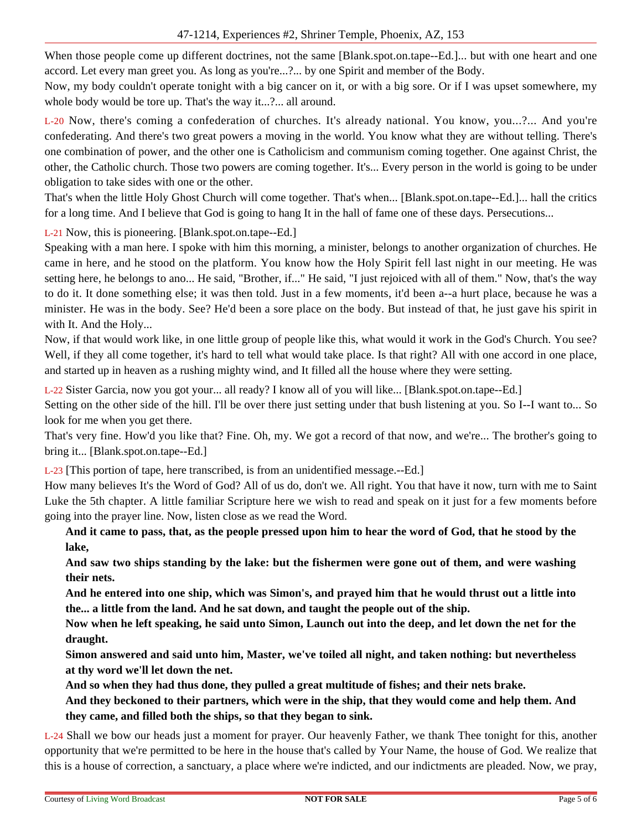When those people come up different doctrines, not the same [Blank.spot.on.tape--Ed.]... but with one heart and one accord. Let every man greet you. As long as you're...?... by one Spirit and member of the Body.

Now, my body couldn't operate tonight with a big cancer on it, or with a big sore. Or if I was upset somewhere, my whole body would be tore up. That's the way it...?... all around.

L-20 Now, there's coming a confederation of churches. It's already national. You know, you...?... And you're confederating. And there's two great powers a moving in the world. You know what they are without telling. There's one combination of power, and the other one is Catholicism and communism coming together. One against Christ, the other, the Catholic church. Those two powers are coming together. It's... Every person in the world is going to be under obligation to take sides with one or the other.

That's when the little Holy Ghost Church will come together. That's when... [Blank.spot.on.tape--Ed.]... hall the critics for a long time. And I believe that God is going to hang It in the hall of fame one of these days. Persecutions...

L-21 Now, this is pioneering. [Blank.spot.on.tape--Ed.]

Speaking with a man here. I spoke with him this morning, a minister, belongs to another organization of churches. He came in here, and he stood on the platform. You know how the Holy Spirit fell last night in our meeting. He was setting here, he belongs to ano... He said, "Brother, if..." He said, "I just rejoiced with all of them." Now, that's the way to do it. It done something else; it was then told. Just in a few moments, it'd been a--a hurt place, because he was a minister. He was in the body. See? He'd been a sore place on the body. But instead of that, he just gave his spirit in with It. And the Holy...

Now, if that would work like, in one little group of people like this, what would it work in the God's Church. You see? Well, if they all come together, it's hard to tell what would take place. Is that right? All with one accord in one place, and started up in heaven as a rushing mighty wind, and It filled all the house where they were setting.

L-22 Sister Garcia, now you got your... all ready? I know all of you will like... [Blank.spot.on.tape--Ed.]

Setting on the other side of the hill. I'll be over there just setting under that bush listening at you. So I--I want to... So look for me when you get there.

That's very fine. How'd you like that? Fine. Oh, my. We got a record of that now, and we're... The brother's going to bring it... [Blank.spot.on.tape--Ed.]

L-23 [This portion of tape, here transcribed, is from an unidentified message.--Ed.]

How many believes It's the Word of God? All of us do, don't we. All right. You that have it now, turn with me to Saint Luke the 5th chapter. A little familiar Scripture here we wish to read and speak on it just for a few moments before going into the prayer line. Now, listen close as we read the Word.

**And it came to pass, that, as the people pressed upon him to hear the word of God, that he stood by the lake,**

**And saw two ships standing by the lake: but the fishermen were gone out of them, and were washing their nets.**

**And he entered into one ship, which was Simon's, and prayed him that he would thrust out a little into the... a little from the land. And he sat down, and taught the people out of the ship.**

**Now when he left speaking, he said unto Simon, Launch out into the deep, and let down the net for the draught.**

**Simon answered and said unto him, Master, we've toiled all night, and taken nothing: but nevertheless at thy word we'll let down the net.**

**And so when they had thus done, they pulled a great multitude of fishes; and their nets brake.**

**And they beckoned to their partners, which were in the ship, that they would come and help them. And they came, and filled both the ships, so that they began to sink.**

L-24 Shall we bow our heads just a moment for prayer. Our heavenly Father, we thank Thee tonight for this, another opportunity that we're permitted to be here in the house that's called by Your Name, the house of God. We realize that this is a house of correction, a sanctuary, a place where we're indicted, and our indictments are pleaded. Now, we pray,